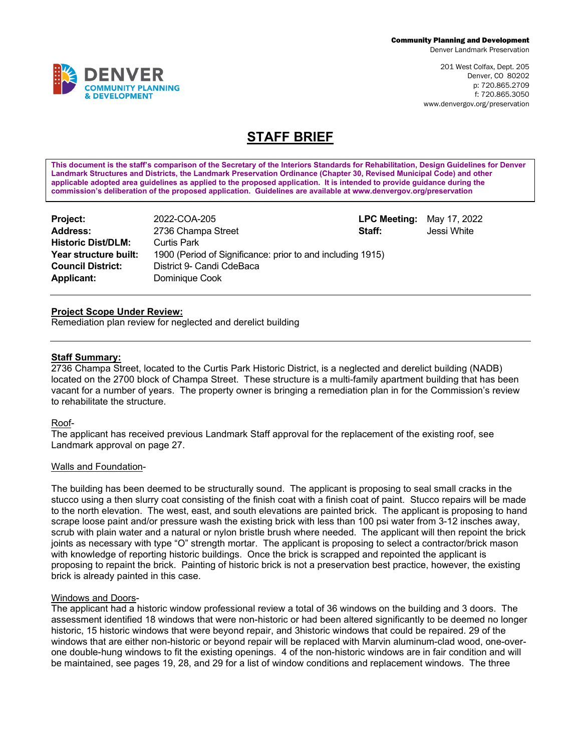Denver Landmark Preservation

201 West Colfax, Dept. 205 Denver, CO 80202 p: 720.865.2709 f: 720.865.3050 www.denvergov.org/preservation

# **STAFF BRIEF**

**This document is the staff's comparison of the Secretary of the Interiors Standards for Rehabilitation, Design Guidelines for Denver Landmark Structures and Districts, the Landmark Preservation Ordinance (Chapter 30, Revised Municipal Code) and other applicable adopted area guidelines as applied to the proposed application. It is intended to provide guidance during the commission's deliberation of the proposed application. Guidelines are available at www.denvergov.org/preservation**

| Project:                  | 2022-COA-205                                               | <b>LPC Meeting:</b> | May 17, 2022 |  |
|---------------------------|------------------------------------------------------------|---------------------|--------------|--|
| <b>Address:</b>           | 2736 Champa Street                                         | Staff:              | Jessi White  |  |
| <b>Historic Dist/DLM:</b> | Curtis Park                                                |                     |              |  |
| Year structure built:     | 1900 (Period of Significance: prior to and including 1915) |                     |              |  |
| <b>Council District:</b>  | District 9- Candi CdeBaca                                  |                     |              |  |
| <b>Applicant:</b>         | Dominique Cook                                             |                     |              |  |

### **Project Scope Under Review:**

Remediation plan review for neglected and derelict building

#### **Staff Summary:**

2736 Champa Street, located to the Curtis Park Historic District, is a neglected and derelict building (NADB) located on the 2700 block of Champa Street. These structure is a multi-family apartment building that has been vacant for a number of years. The property owner is bringing a remediation plan in for the Commission's review to rehabilitate the structure.

#### Roof-

The applicant has received previous Landmark Staff approval for the replacement of the existing roof, see Landmark approval on page 27.

#### Walls and Foundation-

The building has been deemed to be structurally sound. The applicant is proposing to seal small cracks in the stucco using a then slurry coat consisting of the finish coat with a finish coat of paint. Stucco repairs will be made to the north elevation. The west, east, and south elevations are painted brick. The applicant is proposing to hand scrape loose paint and/or pressure wash the existing brick with less than 100 psi water from 3-12 insches away, scrub with plain water and a natural or nylon bristle brush where needed. The applicant will then repoint the brick joints as necessary with type "O" strength mortar. The applicant is proposing to select a contractor/brick mason with knowledge of reporting historic buildings. Once the brick is scrapped and repointed the applicant is proposing to repaint the brick. Painting of historic brick is not a preservation best practice, however, the existing brick is already painted in this case.

#### Windows and Doors-

The applicant had a historic window professional review a total of 36 windows on the building and 3 doors. The assessment identified 18 windows that were non-historic or had been altered significantly to be deemed no longer historic, 15 historic windows that were beyond repair, and 3historic windows that could be repaired. 29 of the windows that are either non-historic or beyond repair will be replaced with Marvin aluminum-clad wood, one-overone double-hung windows to fit the existing openings. 4 of the non-historic windows are in fair condition and will be maintained, see pages 19, 28, and 29 for a list of window conditions and replacement windows. The three

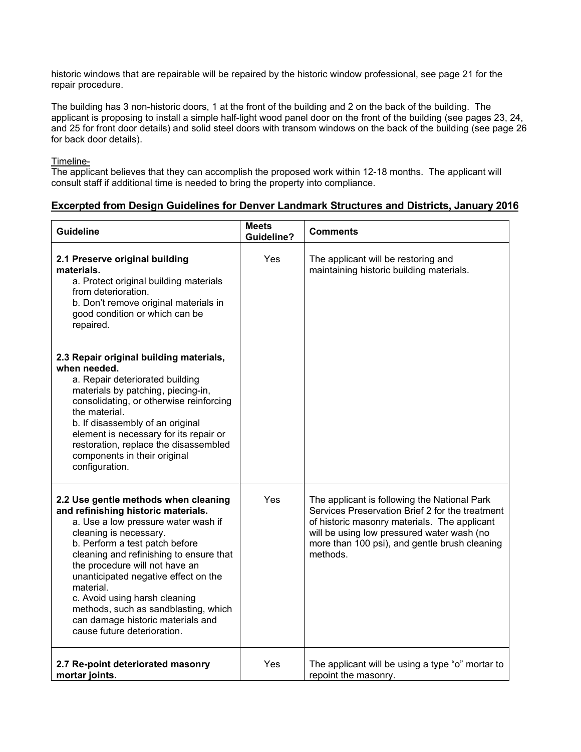historic windows that are repairable will be repaired by the historic window professional, see page 21 for the repair procedure.

The building has 3 non-historic doors, 1 at the front of the building and 2 on the back of the building. The applicant is proposing to install a simple half-light wood panel door on the front of the building (see pages 23, 24, and 25 for front door details) and solid steel doors with transom windows on the back of the building (see page 26 for back door details).

Timeline-

The applicant believes that they can accomplish the proposed work within 12-18 months. The applicant will consult staff if additional time is needed to bring the property into compliance.

# **Excerpted from Design Guidelines for Denver Landmark Structures and Districts, January 2016**

| <b>Guideline</b>                                                                                                                                                                                                                                                                                                                                                                                                                                              | <b>Meets</b><br><b>Guideline?</b> | <b>Comments</b>                                                                                                                                                                                                                                            |
|---------------------------------------------------------------------------------------------------------------------------------------------------------------------------------------------------------------------------------------------------------------------------------------------------------------------------------------------------------------------------------------------------------------------------------------------------------------|-----------------------------------|------------------------------------------------------------------------------------------------------------------------------------------------------------------------------------------------------------------------------------------------------------|
| 2.1 Preserve original building<br>materials.<br>a. Protect original building materials<br>from deterioration.<br>b. Don't remove original materials in<br>good condition or which can be<br>repaired.                                                                                                                                                                                                                                                         | Yes                               | The applicant will be restoring and<br>maintaining historic building materials.                                                                                                                                                                            |
| 2.3 Repair original building materials,<br>when needed.<br>a. Repair deteriorated building<br>materials by patching, piecing-in,<br>consolidating, or otherwise reinforcing<br>the material.<br>b. If disassembly of an original<br>element is necessary for its repair or<br>restoration, replace the disassembled<br>components in their original<br>configuration.                                                                                         |                                   |                                                                                                                                                                                                                                                            |
| 2.2 Use gentle methods when cleaning<br>and refinishing historic materials.<br>a. Use a low pressure water wash if<br>cleaning is necessary.<br>b. Perform a test patch before<br>cleaning and refinishing to ensure that<br>the procedure will not have an<br>unanticipated negative effect on the<br>material.<br>c. Avoid using harsh cleaning<br>methods, such as sandblasting, which<br>can damage historic materials and<br>cause future deterioration. | <b>Yes</b>                        | The applicant is following the National Park<br>Services Preservation Brief 2 for the treatment<br>of historic masonry materials. The applicant<br>will be using low pressured water wash (no<br>more than 100 psi), and gentle brush cleaning<br>methods. |
| 2.7 Re-point deteriorated masonry<br>mortar joints.                                                                                                                                                                                                                                                                                                                                                                                                           | Yes                               | The applicant will be using a type "o" mortar to<br>repoint the masonry.                                                                                                                                                                                   |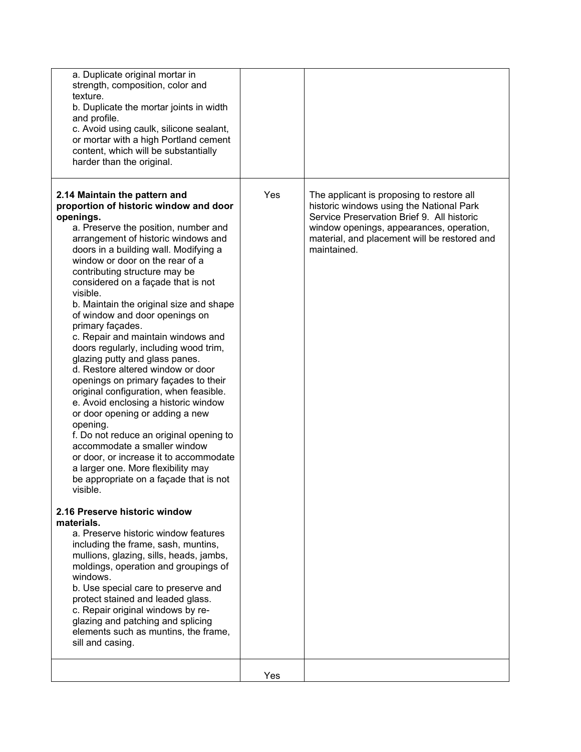| a. Duplicate original mortar in<br>strength, composition, color and<br>texture.<br>b. Duplicate the mortar joints in width<br>and profile.<br>c. Avoid using caulk, silicone sealant,<br>or mortar with a high Portland cement<br>content, which will be substantially<br>harder than the original.                                                                                                                                                                                                                                                                                                                                                                                                                                                                                                                                                                                                                                                                                                                                                                                                                                                                                                                                                                                                                                                                                                                                |     |                                                                                                                                                                                                                                                |
|------------------------------------------------------------------------------------------------------------------------------------------------------------------------------------------------------------------------------------------------------------------------------------------------------------------------------------------------------------------------------------------------------------------------------------------------------------------------------------------------------------------------------------------------------------------------------------------------------------------------------------------------------------------------------------------------------------------------------------------------------------------------------------------------------------------------------------------------------------------------------------------------------------------------------------------------------------------------------------------------------------------------------------------------------------------------------------------------------------------------------------------------------------------------------------------------------------------------------------------------------------------------------------------------------------------------------------------------------------------------------------------------------------------------------------|-----|------------------------------------------------------------------------------------------------------------------------------------------------------------------------------------------------------------------------------------------------|
| 2.14 Maintain the pattern and<br>proportion of historic window and door<br>openings.<br>a. Preserve the position, number and<br>arrangement of historic windows and<br>doors in a building wall. Modifying a<br>window or door on the rear of a<br>contributing structure may be<br>considered on a façade that is not<br>visible.<br>b. Maintain the original size and shape<br>of window and door openings on<br>primary façades.<br>c. Repair and maintain windows and<br>doors regularly, including wood trim,<br>glazing putty and glass panes.<br>d. Restore altered window or door<br>openings on primary façades to their<br>original configuration, when feasible.<br>e. Avoid enclosing a historic window<br>or door opening or adding a new<br>opening.<br>f. Do not reduce an original opening to<br>accommodate a smaller window<br>or door, or increase it to accommodate<br>a larger one. More flexibility may<br>be appropriate on a façade that is not<br>visible.<br>2.16 Preserve historic window<br>materials.<br>a. Preserve historic window features<br>including the frame, sash, muntins,<br>mullions, glazing, sills, heads, jambs,<br>moldings, operation and groupings of<br>windows.<br>b. Use special care to preserve and<br>protect stained and leaded glass.<br>c. Repair original windows by re-<br>glazing and patching and splicing<br>elements such as muntins, the frame,<br>sill and casing. | Yes | The applicant is proposing to restore all<br>historic windows using the National Park<br>Service Preservation Brief 9. All historic<br>window openings, appearances, operation,<br>material, and placement will be restored and<br>maintained. |
|                                                                                                                                                                                                                                                                                                                                                                                                                                                                                                                                                                                                                                                                                                                                                                                                                                                                                                                                                                                                                                                                                                                                                                                                                                                                                                                                                                                                                                    | Yes |                                                                                                                                                                                                                                                |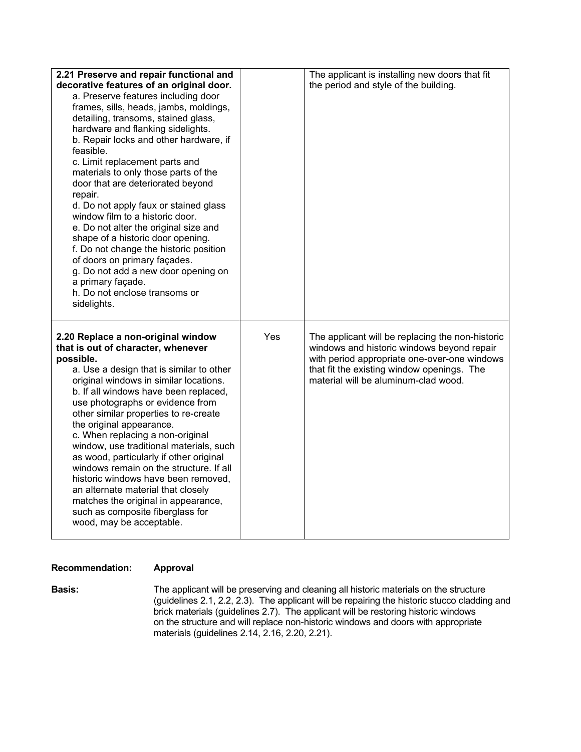| 2.21 Preserve and repair functional and<br>decorative features of an original door.<br>a. Preserve features including door<br>frames, sills, heads, jambs, moldings,<br>detailing, transoms, stained glass,<br>hardware and flanking sidelights.<br>b. Repair locks and other hardware, if<br>feasible.<br>c. Limit replacement parts and<br>materials to only those parts of the<br>door that are deteriorated beyond<br>repair.<br>d. Do not apply faux or stained glass<br>window film to a historic door.<br>e. Do not alter the original size and<br>shape of a historic door opening.<br>f. Do not change the historic position<br>of doors on primary façades.<br>g. Do not add a new door opening on<br>a primary façade.<br>h. Do not enclose transoms or<br>sidelights. |     | The applicant is installing new doors that fit<br>the period and style of the building.                                                                                                                                              |
|-----------------------------------------------------------------------------------------------------------------------------------------------------------------------------------------------------------------------------------------------------------------------------------------------------------------------------------------------------------------------------------------------------------------------------------------------------------------------------------------------------------------------------------------------------------------------------------------------------------------------------------------------------------------------------------------------------------------------------------------------------------------------------------|-----|--------------------------------------------------------------------------------------------------------------------------------------------------------------------------------------------------------------------------------------|
| 2.20 Replace a non-original window<br>that is out of character, whenever<br>possible.<br>a. Use a design that is similar to other<br>original windows in similar locations.<br>b. If all windows have been replaced,<br>use photographs or evidence from<br>other similar properties to re-create<br>the original appearance.<br>c. When replacing a non-original<br>window, use traditional materials, such<br>as wood, particularly if other original<br>windows remain on the structure. If all<br>historic windows have been removed,<br>an alternate material that closely<br>matches the original in appearance,<br>such as composite fiberglass for<br>wood, may be acceptable.                                                                                            | Yes | The applicant will be replacing the non-historic<br>windows and historic windows beyond repair<br>with period appropriate one-over-one windows<br>that fit the existing window openings. The<br>material will be aluminum-clad wood. |

## **Recommendation: Approval**

**Basis:** The applicant will be preserving and cleaning all historic materials on the structure (guidelines 2.1, 2.2, 2.3). The applicant will be repairing the historic stucco cladding and brick materials (guidelines 2.7). The applicant will be restoring historic windows on the structure and will replace non-historic windows and doors with appropriate materials (guidelines 2.14, 2.16, 2.20, 2.21).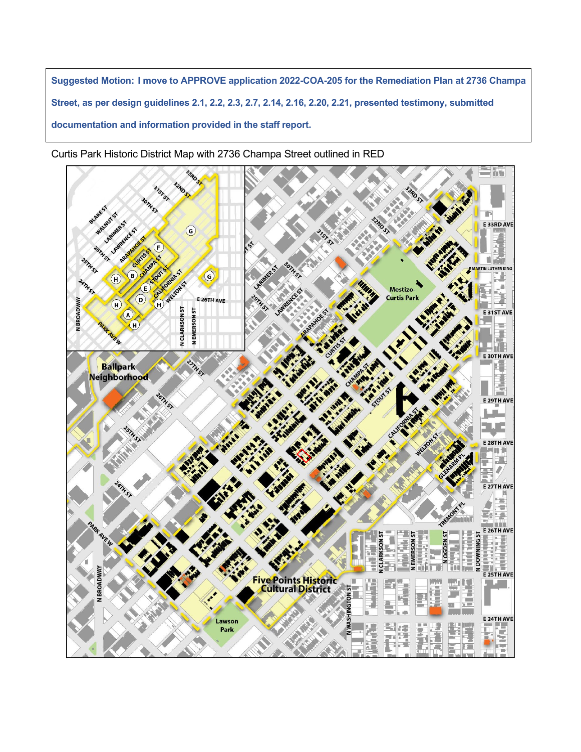**Suggested Motion: I move to APPROVE application 2022-COA-205 for the Remediation Plan at 2736 Champa Street, as per design guidelines 2.1, 2.2, 2.3, 2.7, 2.14, 2.16, 2.20, 2.21, presented testimony, submitted documentation and information provided in the staff report.**

Curtis Park Historic District Map with 2736 Champa Street outlined in RED